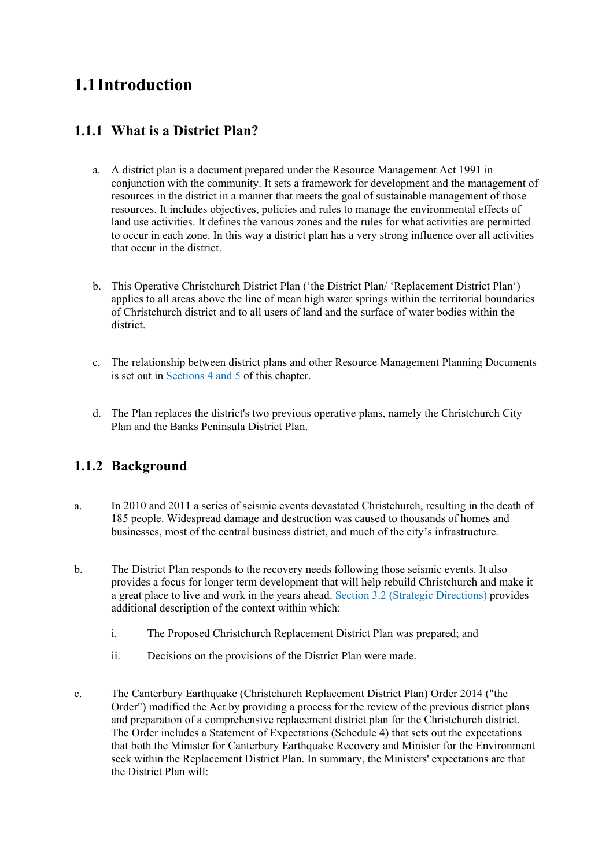# **1.1Introduction**

## **1.1.1 What is a District Plan?**

- a. A district plan is a document prepared under the Resource Management Act 1991 in conjunction with the community. It sets a framework for development and the management of resources in the district in a manner that meets the goal of sustainable management of those resources. It includes objectives, policies and rules to manage the environmental effects of land use activities. It defines the various zones and the rules for what activities are permitted to occur in each zone. In this way a district plan has a very strong influence over all activities that occur in the district.
- b. This Operative Christchurch District Plan ('the District Plan' 'Replacement District Plan') applies to all areas above the line of mean high water springs within the territorial boundaries of Christchurch district and to all users of land and the surface of water bodies within the district.
- c. The relationship between district plans and other Resource Management Planning Documents is set out in Sections 4 and 5 of this chapter.
- d. The Plan replaces the district's two previous operative plans, namely the Christchurch City Plan and the Banks Peninsula District Plan.

## **1.1.2 Background**

- a. In 2010 and 2011 a series of seismic events devastated Christchurch, resulting in the death of 185 people. Widespread damage and destruction was caused to thousands of homes and businesses, most of the central business district, and much of the city's infrastructure.
- b. The District Plan responds to the recovery needs following those seismic events. It also provides a focus for longer term development that will help rebuild Christchurch and make it a great place to live and work in the years ahead. Section 3.2 (Strategic Directions) provides additional description of the context within which:
	- i. The Proposed Christchurch Replacement District Plan was prepared; and
	- ii. Decisions on the provisions of the District Plan were made.
- c. The Canterbury Earthquake (Christchurch Replacement District Plan) Order 2014 ("the Order") modified the Act by providing a process for the review of the previous district plans and preparation of a comprehensive replacement district plan for the Christchurch district. The Order includes a Statement of Expectations (Schedule 4) that sets out the expectations that both the Minister for Canterbury Earthquake Recovery and Minister for the Environment seek within the Replacement District Plan. In summary, the Ministers' expectations are that the District Plan will: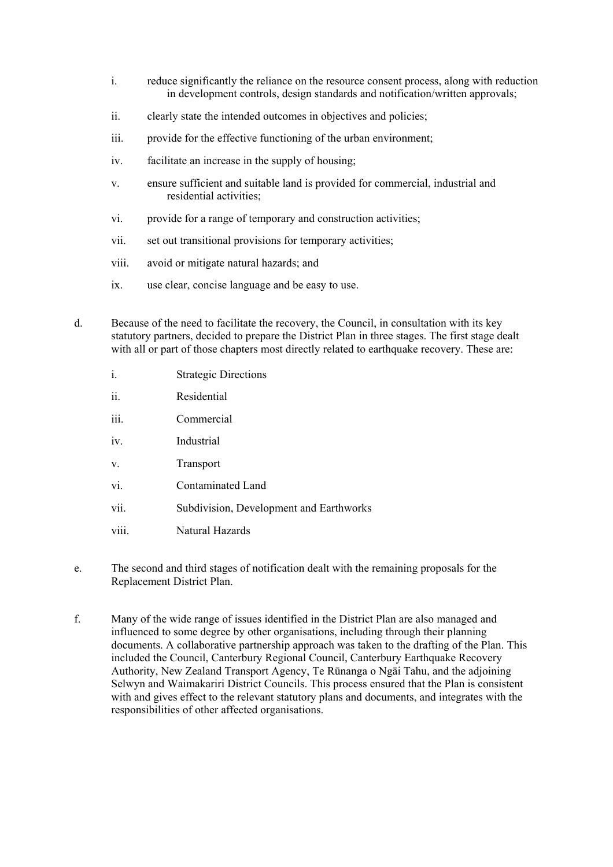- i. reduce significantly the reliance on the resource consent process, along with reduction in development controls, design standards and notification/written approvals;
- ii. clearly state the intended outcomes in objectives and policies;
- iii. provide for the effective functioning of the urban environment;
- iv. facilitate an increase in the supply of housing;
- v. ensure sufficient and suitable land is provided for commercial, industrial and residential activities;
- vi. provide for a range of temporary and construction activities;
- vii. set out transitional provisions for temporary activities;
- viii. avoid or mitigate natural hazards; and
- ix. use clear, concise language and be easy to use.
- d. Because of the need to facilitate the recovery, the Council, in consultation with its key statutory partners, decided to prepare the District Plan in three stages. The first stage dealt with all or part of those chapters most directly related to earthquake recovery. These are:
	- i. Strategic Directions
	- ii. Residential
	- iii. Commercial
	- iv. Industrial
	- v. Transport
	- vi. Contaminated Land
	- vii. Subdivision, Development and Earthworks
	- viii. Natural Hazards
- e. The second and third stages of notification dealt with the remaining proposals for the Replacement District Plan.
- f. Many of the wide range of issues identified in the District Plan are also managed and influenced to some degree by other organisations, including through their planning documents. A collaborative partnership approach was taken to the drafting of the Plan. This included the Council, Canterbury Regional Council, Canterbury Earthquake Recovery Authority, New Zealand Transport Agency, Te Rūnanga o Ngāi Tahu, and the adjoining Selwyn and Waimakariri District Councils. This process ensured that the Plan is consistent with and gives effect to the relevant statutory plans and documents, and integrates with the responsibilities of other affected organisations.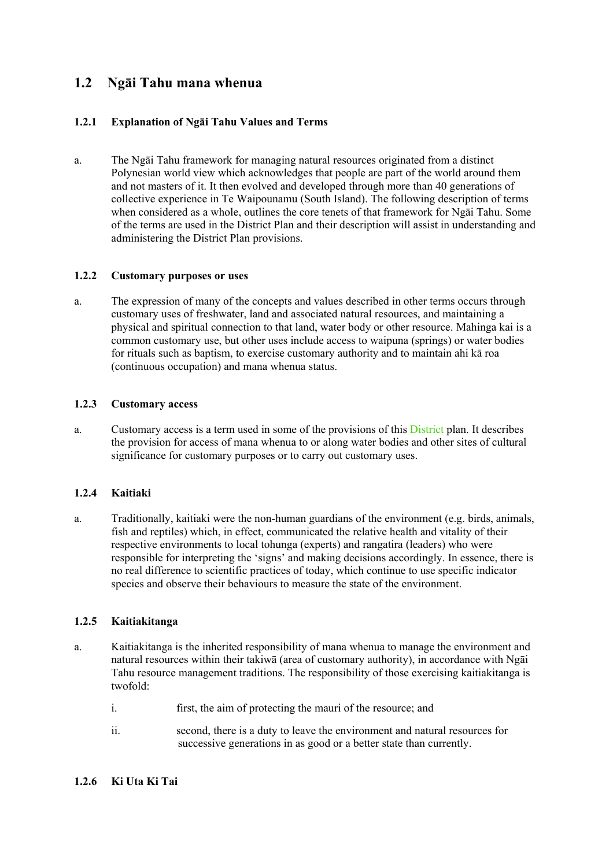## **1.2 Ngāi Tahu mana whenua**

### **1.2.1 Explanation of Ngāi Tahu Values and Terms**

a. The Ngāi Tahu framework for managing natural resources originated from a distinct Polynesian world view which acknowledges that people are part of the world around them and not masters of it. It then evolved and developed through more than 40 generations of collective experience in Te Waipounamu (South Island). The following description of terms when considered as a whole, outlines the core tenets of that framework for Ngāi Tahu. Some of the terms are used in the District Plan and their description will assist in understanding and administering the District Plan provisions.

### **1.2.2 Customary purposes or uses**

a. The expression of many of the concepts and values described in other terms occurs through customary uses of freshwater, land and associated natural resources, and maintaining a physical and spiritual connection to that land, water body or other resource. Mahinga kai is a common customary use, but other uses include access to waipuna (springs) or water bodies for rituals such as baptism, to exercise customary authority and to maintain ahi kā roa (continuous occupation) and mana whenua status.

### **1.2.3 Customary access**

a. Customary access is a term used in some of the provisions of this District plan. It describes the provision for access of mana whenua to or along water bodies and other sites of cultural significance for customary purposes or to carry out customary uses.

### **1.2.4 Kaitiaki**

a. Traditionally, kaitiaki were the non-human guardians of the environment (e.g. birds, animals, fish and reptiles) which, in effect, communicated the relative health and vitality of their respective environments to local tohunga (experts) and rangatira (leaders) who were responsible for interpreting the 'signs' and making decisions accordingly. In essence, there is no real difference to scientific practices of today, which continue to use specific indicator species and observe their behaviours to measure the state of the environment.

### **1.2.5 Kaitiakitanga**

- a. Kaitiakitanga is the inherited responsibility of mana whenua to manage the environment and natural resources within their takiwā (area of customary authority), in accordance with Ngāi Tahu resource management traditions. The responsibility of those exercising kaitiakitanga is twofold:
	- i. first, the aim of protecting the mauri of the resource; and
	- ii. second, there is a duty to leave the environment and natural resources for successive generations in as good or a better state than currently.

### **1.2.6 Ki Uta Ki Tai**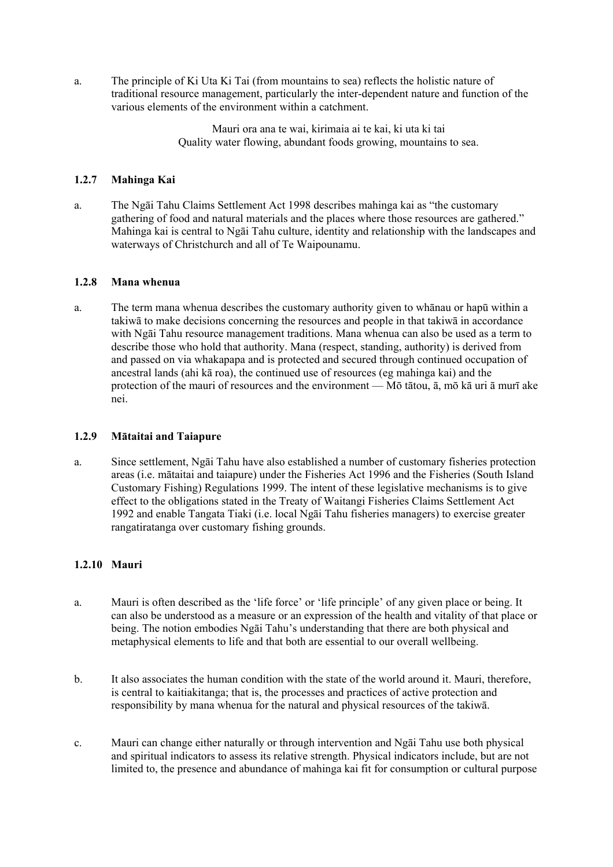a. The principle of Ki Uta Ki Tai (from mountains to sea) reflects the holistic nature of traditional resource management, particularly the inter-dependent nature and function of the various elements of the environment within a catchment.

> Mauri ora ana te wai, kirimaia ai te kai, ki uta ki tai Quality water flowing, abundant foods growing, mountains to sea.

### **1.2.7 Mahinga Kai**

a. The Ngāi Tahu Claims Settlement Act 1998 describes mahinga kai as "the customary gathering of food and natural materials and the places where those resources are gathered." Mahinga kai is central to Ngāi Tahu culture, identity and relationship with the landscapes and waterways of Christchurch and all of Te Waipounamu.

### **1.2.8 Mana whenua**

a. The term mana whenua describes the customary authority given to whānau or hapū within a takiwā to make decisions concerning the resources and people in that takiwā in accordance with Ngāi Tahu resource management traditions. Mana whenua can also be used as a term to describe those who hold that authority. Mana (respect, standing, authority) is derived from and passed on via whakapapa and is protected and secured through continued occupation of ancestral lands (ahi kā roa), the continued use of resources (eg mahinga kai) and the protection of the mauri of resources and the environment — Mō tātou, ā, mō kā uri ā murī ake nei.

### **1.2.9 Mātaitai and Taiapure**

a. Since settlement, Ngāi Tahu have also established a number of customary fisheries protection areas (i.e. mātaitai and taiapure) under the Fisheries Act 1996 and the Fisheries (South Island Customary Fishing) Regulations 1999. The intent of these legislative mechanisms is to give effect to the obligations stated in the Treaty of Waitangi Fisheries Claims Settlement Act 1992 and enable Tangata Tiaki (i.e. local Ngāi Tahu fisheries managers) to exercise greater rangatiratanga over customary fishing grounds.

### **1.2.10 Mauri**

- a. Mauri is often described as the 'life force' or 'life principle' of any given place or being. It can also be understood as a measure or an expression of the health and vitality of that place or being. The notion embodies Ngāi Tahu's understanding that there are both physical and metaphysical elements to life and that both are essential to our overall wellbeing.
- b. It also associates the human condition with the state of the world around it. Mauri, therefore, is central to kaitiakitanga; that is, the processes and practices of active protection and responsibility by mana whenua for the natural and physical resources of the takiwā.
- c. Mauri can change either naturally or through intervention and Ngāi Tahu use both physical and spiritual indicators to assess its relative strength. Physical indicators include, but are not limited to, the presence and abundance of mahinga kai fit for consumption or cultural purpose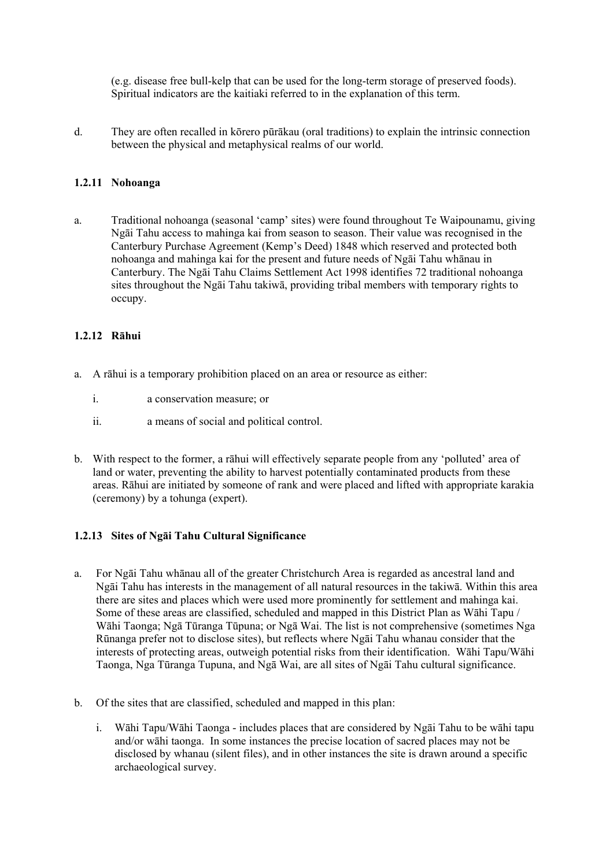(e.g. disease free bull-kelp that can be used for the long-term storage of preserved foods). Spiritual indicators are the kaitiaki referred to in the explanation of this term.

d. They are often recalled in kōrero pūrākau (oral traditions) to explain the intrinsic connection between the physical and metaphysical realms of our world.

### **1.2.11 Nohoanga**

a. Traditional nohoanga (seasonal 'camp' sites) were found throughout Te Waipounamu, giving Ngāi Tahu access to mahinga kai from season to season. Their value was recognised in the Canterbury Purchase Agreement (Kemp's Deed) 1848 which reserved and protected both nohoanga and mahinga kai for the present and future needs of Ngāi Tahu whānau in Canterbury. The Ngāi Tahu Claims Settlement Act 1998 identifies 72 traditional nohoanga sites throughout the Ngāi Tahu takiwā, providing tribal members with temporary rights to occupy.

### **1.2.12 Rāhui**

- a. A rāhui is a temporary prohibition placed on an area or resource as either:
	- i. a conservation measure; or
	- ii. a means of social and political control.
- b. With respect to the former, a rāhui will effectively separate people from any 'polluted' area of land or water, preventing the ability to harvest potentially contaminated products from these areas. Rāhui are initiated by someone of rank and were placed and lifted with appropriate karakia (ceremony) by a tohunga (expert).

### **1.2.13 Sites of Ngāi Tahu Cultural Significance**

- a. For Ngāi Tahu whānau all of the greater Christchurch Area is regarded as ancestral land and Ngāi Tahu has interests in the management of all natural resources in the takiwā. Within this area there are sites and places which were used more prominently for settlement and mahinga kai. Some of these areas are classified, scheduled and mapped in this District Plan as Wāhi Tapu / Wāhi Taonga; Ngā Tūranga Tūpuna; or Ngā Wai. The list is not comprehensive (sometimes Nga Rūnanga prefer not to disclose sites), but reflects where Ngāi Tahu whanau consider that the interests of protecting areas, outweigh potential risks from their identification. Wāhi Tapu/Wāhi Taonga, Nga Tūranga Tupuna, and Ngā Wai, are all sites of Ngāi Tahu cultural significance.
- b. Of the sites that are classified, scheduled and mapped in this plan:
	- i. Wāhi Tapu/Wāhi Taonga includes places that are considered by Ngāi Tahu to be wāhi tapu and/or wāhi taonga. In some instances the precise location of sacred places may not be disclosed by whanau (silent files), and in other instances the site is drawn around a specific archaeological survey.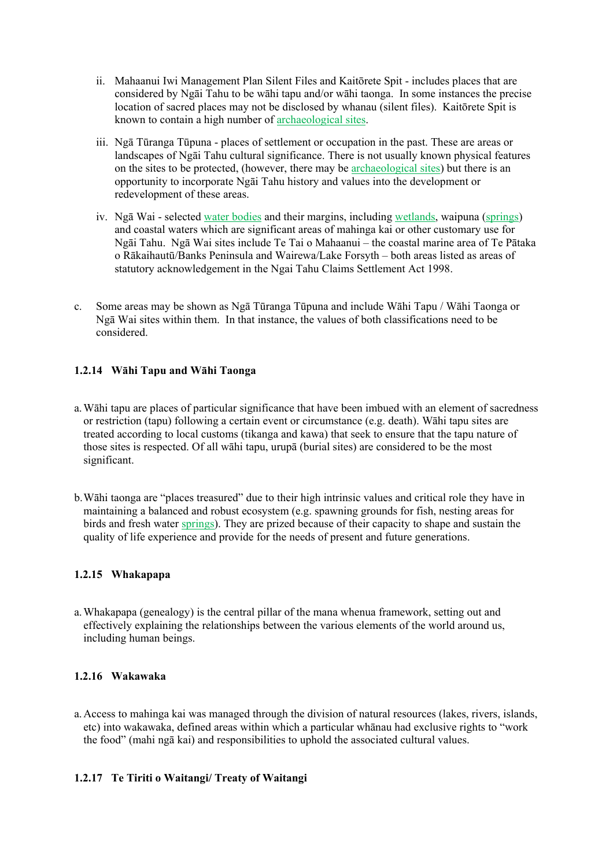- ii. Mahaanui Iwi Management Plan Silent Files and Kaitōrete Spit includes places that are considered by Ngāi Tahu to be wāhi tapu and/or wāhi taonga. In some instances the precise location of sacred places may not be disclosed by whanau (silent files). Kaitōrete Spit is known to contain a high number of archaeological sites.
- iii. Ngā Tūranga Tūpuna places of settlement or occupation in the past. These are areas or landscapes of Ngāi Tahu cultural significance. There is not usually known physical features on the sites to be protected, (however, there may be archaeological sites) but there is an opportunity to incorporate Ngāi Tahu history and values into the development or redevelopment of these areas.
- iv. Ngā Wai selected water bodies and their margins, including wetlands, waipuna (springs) and coastal waters which are significant areas of mahinga kai or other customary use for Ngāi Tahu. Ngā Wai sites include Te Tai o Mahaanui – the coastal marine area of Te Pātaka o Rākaihautū/Banks Peninsula and Wairewa/Lake Forsyth – both areas listed as areas of statutory acknowledgement in the Ngai Tahu Claims Settlement Act 1998.
- c. Some areas may be shown as Ngā Tūranga Tūpuna and include Wāhi Tapu / Wāhi Taonga or Ngā Wai sites within them. In that instance, the values of both classifications need to be considered.

### **1.2.14 Wāhi Tapu and Wāhi Taonga**

- a.Wāhi tapu are places of particular significance that have been imbued with an element of sacredness or restriction (tapu) following a certain event or circumstance (e.g. death). Wāhi tapu sites are treated according to local customs (tikanga and kawa) that seek to ensure that the tapu nature of those sites is respected. Of all wāhi tapu, urupā (burial sites) are considered to be the most significant.
- b.Wāhi taonga are "places treasured" due to their high intrinsic values and critical role they have in maintaining a balanced and robust ecosystem (e.g. spawning grounds for fish, nesting areas for birds and fresh water springs). They are prized because of their capacity to shape and sustain the quality of life experience and provide for the needs of present and future generations.

### **1.2.15 Whakapapa**

a.Whakapapa (genealogy) is the central pillar of the mana whenua framework, setting out and effectively explaining the relationships between the various elements of the world around us, including human beings.

### **1.2.16 Wakawaka**

a.Access to mahinga kai was managed through the division of natural resources (lakes, rivers, islands, etc) into wakawaka, defined areas within which a particular whānau had exclusive rights to "work the food" (mahi ngā kai) and responsibilities to uphold the associated cultural values.

### **1.2.17 Te Tiriti o Waitangi/ Treaty of Waitangi**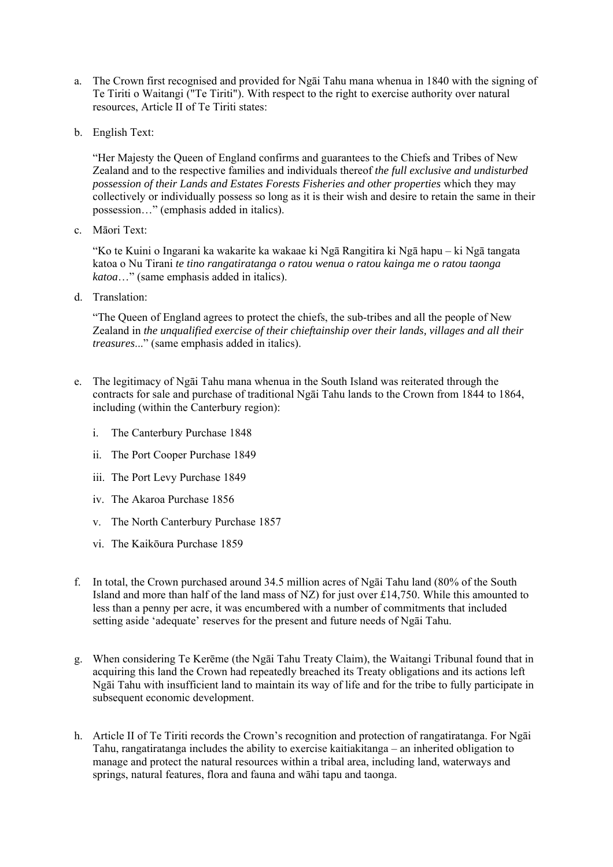- a. The Crown first recognised and provided for Ngāi Tahu mana whenua in 1840 with the signing of Te Tiriti o Waitangi ("Te Tiriti"). With respect to the right to exercise authority over natural resources, Article II of Te Tiriti states:
- b. English Text:

"Her Majesty the Queen of England confirms and guarantees to the Chiefs and Tribes of New Zealand and to the respective families and individuals thereof *the full exclusive and undisturbed possession of their Lands and Estates Forests Fisheries and other properties* which they may collectively or individually possess so long as it is their wish and desire to retain the same in their possession…" (emphasis added in italics).

c. Māori Text:

"Ko te Kuini o Ingarani ka wakarite ka wakaae ki Ngā Rangitira ki Ngā hapu – ki Ngā tangata katoa o Nu Tirani *te tino rangatiratanga o ratou wenua o ratou kainga me o ratou taonga katoa*…" (same emphasis added in italics).

d. Translation:

"The Queen of England agrees to protect the chiefs, the sub-tribes and all the people of New Zealand in *the unqualified exercise of their chieftainship over their lands, villages and all their treasures*..." (same emphasis added in italics).

- e. The legitimacy of Ngāi Tahu mana whenua in the South Island was reiterated through the contracts for sale and purchase of traditional Ngāi Tahu lands to the Crown from 1844 to 1864, including (within the Canterbury region):
	- i. The Canterbury Purchase 1848
	- ii. The Port Cooper Purchase 1849
	- iii. The Port Levy Purchase 1849
	- iv. The Akaroa Purchase 1856
	- v. The North Canterbury Purchase 1857
	- vi. The Kaikōura Purchase 1859
- f. In total, the Crown purchased around 34.5 million acres of Ngāi Tahu land (80% of the South Island and more than half of the land mass of NZ) for just over £14,750. While this amounted to less than a penny per acre, it was encumbered with a number of commitments that included setting aside 'adequate' reserves for the present and future needs of Ngāi Tahu.
- g. When considering Te Kerēme (the Ngāi Tahu Treaty Claim), the Waitangi Tribunal found that in acquiring this land the Crown had repeatedly breached its Treaty obligations and its actions left Ngāi Tahu with insufficient land to maintain its way of life and for the tribe to fully participate in subsequent economic development.
- h. Article II of Te Tiriti records the Crown's recognition and protection of rangatiratanga. For Ngāi Tahu, rangatiratanga includes the ability to exercise kaitiakitanga – an inherited obligation to manage and protect the natural resources within a tribal area, including land, waterways and springs, natural features, flora and fauna and wāhi tapu and taonga.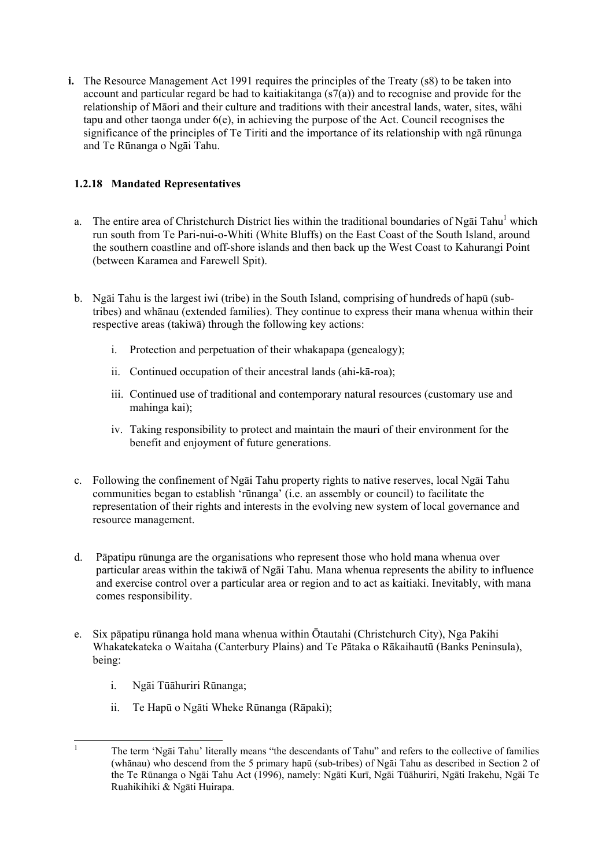**i.** The Resource Management Act 1991 requires the principles of the Treaty (s8) to be taken into account and particular regard be had to kaitiakitanga  $(s7(a))$  and to recognise and provide for the relationship of Māori and their culture and traditions with their ancestral lands, water, sites, wāhi tapu and other taonga under 6(e), in achieving the purpose of the Act. Council recognises the significance of the principles of Te Tiriti and the importance of its relationship with ngā rūnunga and Te Rūnanga o Ngāi Tahu.

### **1.2.18 Mandated Representatives**

- a. The entire area of Christchurch District lies within the traditional boundaries of Ngai Tahu<sup>1</sup> which run south from Te Pari-nui-o-Whiti (White Bluffs) on the East Coast of the South Island, around the southern coastline and off-shore islands and then back up the West Coast to Kahurangi Point (between Karamea and Farewell Spit).
- b. Ngāi Tahu is the largest iwi (tribe) in the South Island, comprising of hundreds of hapū (subtribes) and whānau (extended families). They continue to express their mana whenua within their respective areas (takiwā) through the following key actions:
	- i. Protection and perpetuation of their whakapapa (genealogy);
	- ii. Continued occupation of their ancestral lands (ahi-kā-roa);
	- iii. Continued use of traditional and contemporary natural resources (customary use and mahinga kai);
	- iv. Taking responsibility to protect and maintain the mauri of their environment for the benefit and enjoyment of future generations.
- c. Following the confinement of Ngāi Tahu property rights to native reserves, local Ngāi Tahu communities began to establish 'rūnanga' (i.e. an assembly or council) to facilitate the representation of their rights and interests in the evolving new system of local governance and resource management.
- d. Pāpatipu rūnunga are the organisations who represent those who hold mana whenua over particular areas within the takiwā of Ngāi Tahu. Mana whenua represents the ability to influence and exercise control over a particular area or region and to act as kaitiaki. Inevitably, with mana comes responsibility.
- e. Six pāpatipu rūnanga hold mana whenua within Ōtautahi (Christchurch City), Nga Pakihi Whakatekateka o Waitaha (Canterbury Plains) and Te Pātaka o Rākaihautū (Banks Peninsula), being:
	- i. Ngāi Tūāhuriri Rūnanga;

1

- ii. Te Hapū o Ngāti Wheke Rūnanga (Rāpaki);
- The term 'Ngāi Tahu' literally means "the descendants of Tahu" and refers to the collective of families (whānau) who descend from the 5 primary hapū (sub-tribes) of Ngāi Tahu as described in Section 2 of the Te Rūnanga o Ngāi Tahu Act (1996), namely: Ngāti Kurī, Ngāi Tūāhuriri, Ngāti Irakehu, Ngāi Te Ruahikihiki & Ngāti Huirapa.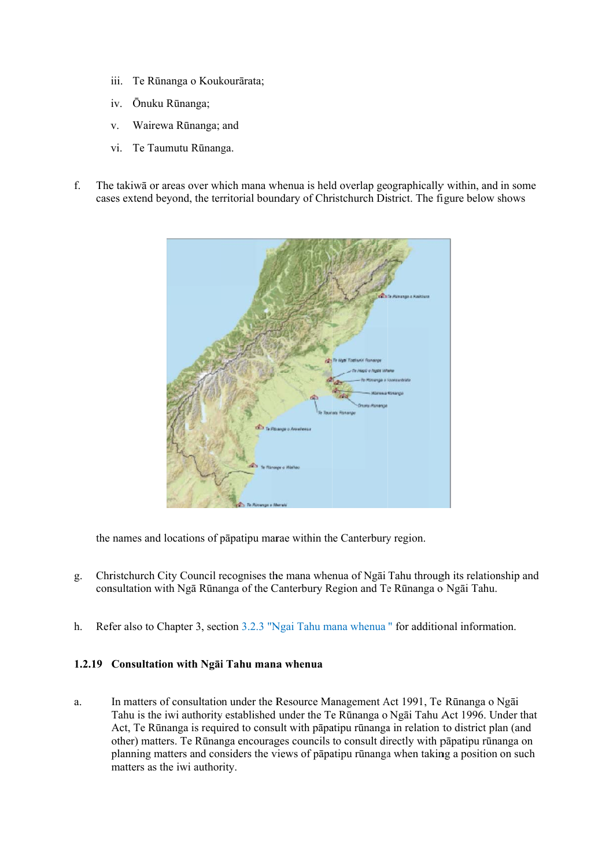- iii. Te Rūnanga o Koukourārata;
- iv. Ōnuku Rūnanga;
- v v. Wairewa Rūnanga; and
- vi. Te Taumutu Rūnanga.
- f. The takiwa or areas over which mana whenua is held overlap geographically within, and in some cases extend beyond, the territorial boundary of Christchurch District. The figure below shows



the names and locations of papatipu marae within the Canterbury region.

- g. Christchurch City Council recognises the mana whenua of Ngāi Tahu through its relationship and consultation with Ngā Rūnanga of the Canterbury Region and Te Rūnanga o Ngāi Tahu.
- h. Refer also to Chapter 3, section 3.2.3 "Ngai Tahu mana whenua" for additional information.

### 1.2.19 Consultation with Nga**i** Tahu mana whenua

a. In matters of consultation under the Resource Management Act 1991, Te Rūnanga o Ngāi Tahu is the iwi authority established under the Te Rūnanga o Ngāi Tahu Act 1996. Under that Act, Te Rūnanga is required to consult with pāpatipu rūnanga in relation to district plan (and other) matters. Te Rūnanga encourages councils to consult directly with pāpatipu rūnanga on planning matters and considers the views of pāpatipu rūnanga when taking a position on such matters as the iwi authority.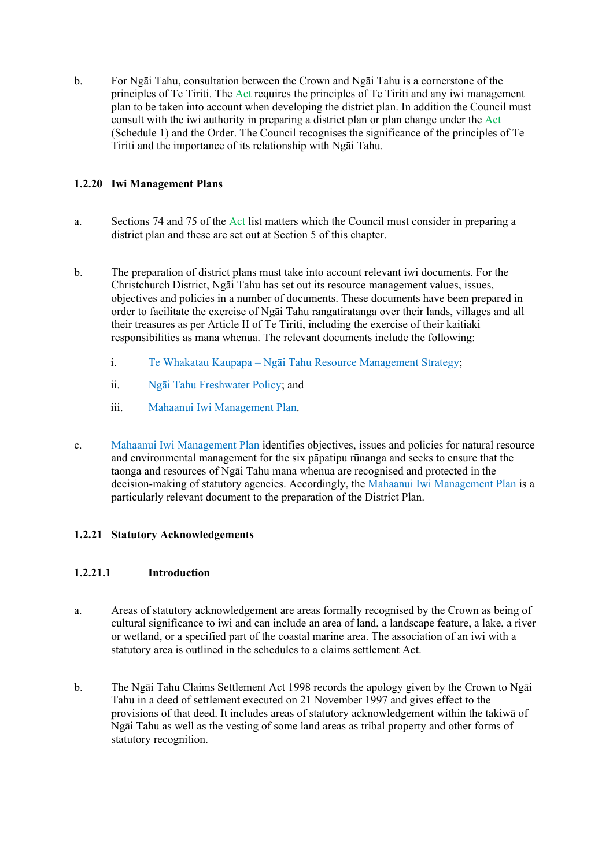b. For Ngāi Tahu, consultation between the Crown and Ngāi Tahu is a cornerstone of the principles of Te Tiriti. The Act requires the principles of Te Tiriti and any iwi management plan to be taken into account when developing the district plan. In addition the Council must consult with the iwi authority in preparing a district plan or plan change under the Act (Schedule 1) and the Order. The Council recognises the significance of the principles of Te Tiriti and the importance of its relationship with Ngāi Tahu.

### **1.2.20 Iwi Management Plans**

- a. Sections 74 and 75 of the Act list matters which the Council must consider in preparing a district plan and these are set out at Section 5 of this chapter.
- b. The preparation of district plans must take into account relevant iwi documents. For the Christchurch District, Ngāi Tahu has set out its resource management values, issues, objectives and policies in a number of documents. These documents have been prepared in order to facilitate the exercise of Ngāi Tahu rangatiratanga over their lands, villages and all their treasures as per Article II of Te Tiriti, including the exercise of their kaitiaki responsibilities as mana whenua. The relevant documents include the following:
	- i. Te Whakatau Kaupapa Ngāi Tahu Resource Management Strategy;
	- ii. Ngāi Tahu Freshwater Policy; and
	- iii. Mahaanui Iwi Management Plan.
- c. Mahaanui Iwi Management Plan identifies objectives, issues and policies for natural resource and environmental management for the six pāpatipu rūnanga and seeks to ensure that the taonga and resources of Ngāi Tahu mana whenua are recognised and protected in the decision-making of statutory agencies. Accordingly, the Mahaanui Iwi Management Plan is a particularly relevant document to the preparation of the District Plan.

### **1.2.21 Statutory Acknowledgements**

### **1.2.21.1 Introduction**

- a. Areas of statutory acknowledgement are areas formally recognised by the Crown as being of cultural significance to iwi and can include an area of land, a landscape feature, a lake, a river or wetland, or a specified part of the coastal marine area. The association of an iwi with a statutory area is outlined in the schedules to a claims settlement Act.
- b. The Ngāi Tahu Claims Settlement Act 1998 records the apology given by the Crown to Ngāi Tahu in a deed of settlement executed on 21 November 1997 and gives effect to the provisions of that deed. It includes areas of statutory acknowledgement within the takiwā of Ngāi Tahu as well as the vesting of some land areas as tribal property and other forms of statutory recognition.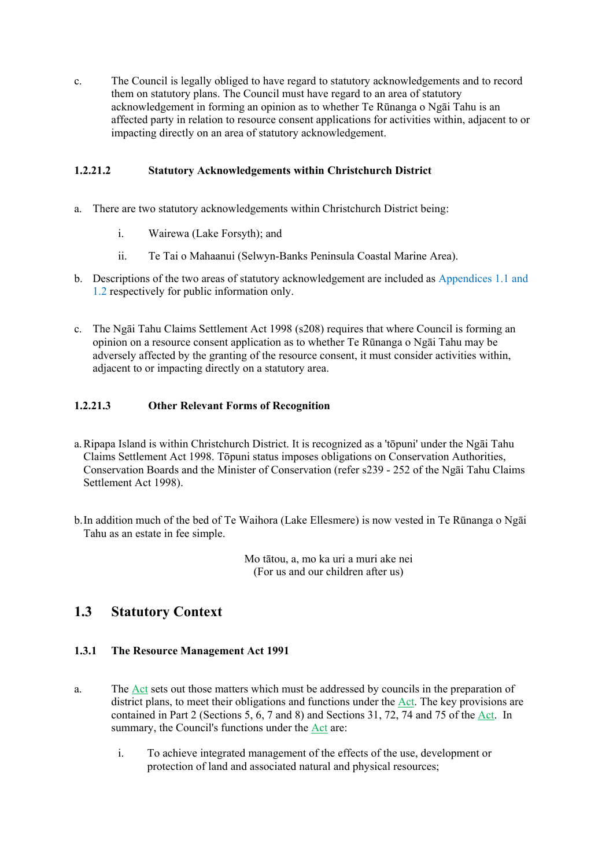c. The Council is legally obliged to have regard to statutory acknowledgements and to record them on statutory plans. The Council must have regard to an area of statutory acknowledgement in forming an opinion as to whether Te Rūnanga o Ngāi Tahu is an affected party in relation to resource consent applications for activities within, adjacent to or impacting directly on an area of statutory acknowledgement.

### **1.2.21.2 Statutory Acknowledgements within Christchurch District**

- a. There are two statutory acknowledgements within Christchurch District being:
	- i. Wairewa (Lake Forsyth); and
	- ii. Te Tai o Mahaanui (Selwyn-Banks Peninsula Coastal Marine Area).
- b. Descriptions of the two areas of statutory acknowledgement are included as Appendices 1.1 and 1.2 respectively for public information only.
- c. The Ngāi Tahu Claims Settlement Act 1998 (s208) requires that where Council is forming an opinion on a resource consent application as to whether Te Rūnanga o Ngāi Tahu may be adversely affected by the granting of the resource consent, it must consider activities within, adjacent to or impacting directly on a statutory area.

### **1.2.21.3 Other Relevant Forms of Recognition**

- a.Ripapa Island is within Christchurch District. It is recognized as a 'tōpuni' under the Ngāi Tahu Claims Settlement Act 1998. Tōpuni status imposes obligations on Conservation Authorities, Conservation Boards and the Minister of Conservation (refer s239 - 252 of the Ngāi Tahu Claims Settlement Act 1998).
- b.In addition much of the bed of Te Waihora (Lake Ellesmere) is now vested in Te Rūnanga o Ngāi Tahu as an estate in fee simple.

Mo tātou, a, mo ka uri a muri ake nei (For us and our children after us)

### **1.3 Statutory Context**

### **1.3.1 The Resource Management Act 1991**

- a. The Act sets out those matters which must be addressed by councils in the preparation of district plans, to meet their obligations and functions under the Act. The key provisions are contained in Part 2 (Sections 5, 6, 7 and 8) and Sections 31, 72, 74 and 75 of the Act. In summary, the Council's functions under the Act are:
	- i. To achieve integrated management of the effects of the use, development or protection of land and associated natural and physical resources;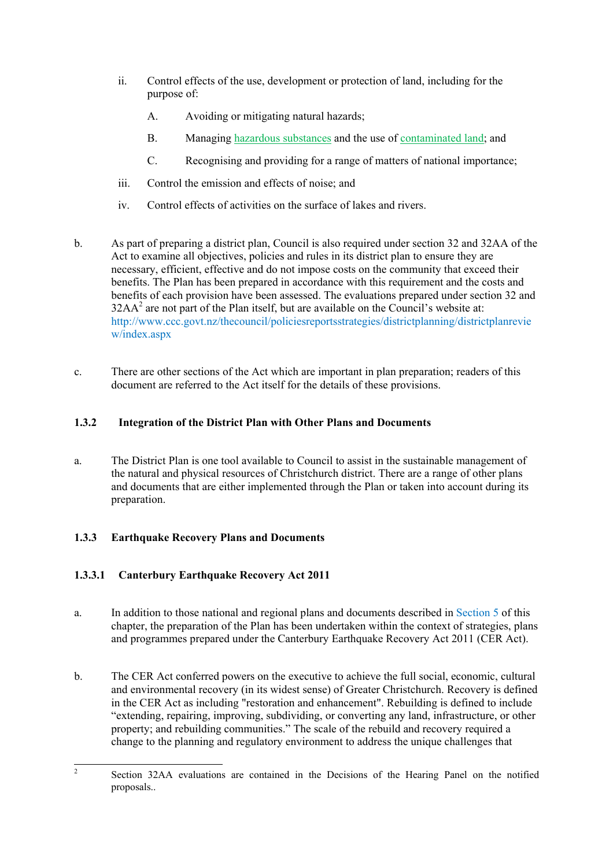- ii. Control effects of the use, development or protection of land, including for the purpose of:
	- A. Avoiding or mitigating natural hazards;
	- B. Managing hazardous substances and the use of contaminated land; and
	- C. Recognising and providing for a range of matters of national importance;
- iii. Control the emission and effects of noise; and
- iv. Control effects of activities on the surface of lakes and rivers.
- b. As part of preparing a district plan, Council is also required under section 32 and 32AA of the Act to examine all objectives, policies and rules in its district plan to ensure they are necessary, efficient, effective and do not impose costs on the community that exceed their benefits. The Plan has been prepared in accordance with this requirement and the costs and benefits of each provision have been assessed. The evaluations prepared under section 32 and  $32AA<sup>2</sup>$  are not part of the Plan itself, but are available on the Council's website at: http://www.ccc.govt.nz/thecouncil/policiesreportsstrategies/districtplanning/districtplanrevie w/index.aspx
- c. There are other sections of the Act which are important in plan preparation; readers of this document are referred to the Act itself for the details of these provisions.

### **1.3.2 Integration of the District Plan with Other Plans and Documents**

a. The District Plan is one tool available to Council to assist in the sustainable management of the natural and physical resources of Christchurch district. There are a range of other plans and documents that are either implemented through the Plan or taken into account during its preparation.

### **1.3.3 Earthquake Recovery Plans and Documents**

### **1.3.3.1 Canterbury Earthquake Recovery Act 2011**

- a. In addition to those national and regional plans and documents described in Section 5 of this chapter, the preparation of the Plan has been undertaken within the context of strategies, plans and programmes prepared under the Canterbury Earthquake Recovery Act 2011 (CER Act).
- b. The CER Act conferred powers on the executive to achieve the full social, economic, cultural and environmental recovery (in its widest sense) of Greater Christchurch. Recovery is defined in the CER Act as including "restoration and enhancement". Rebuilding is defined to include "extending, repairing, improving, subdividing, or converting any land, infrastructure, or other property; and rebuilding communities." The scale of the rebuild and recovery required a change to the planning and regulatory environment to address the unique challenges that

 $\frac{1}{2}$  Section 32AA evaluations are contained in the Decisions of the Hearing Panel on the notified proposals..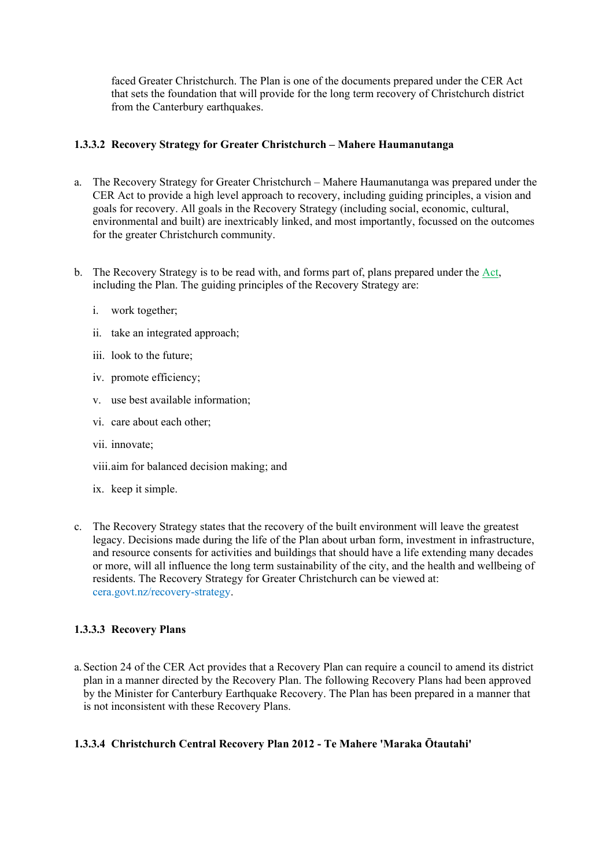faced Greater Christchurch. The Plan is one of the documents prepared under the CER Act that sets the foundation that will provide for the long term recovery of Christchurch district from the Canterbury earthquakes.

### **1.3.3.2 Recovery Strategy for Greater Christchurch – Mahere Haumanutanga**

- a. The Recovery Strategy for Greater Christchurch Mahere Haumanutanga was prepared under the CER Act to provide a high level approach to recovery, including guiding principles, a vision and goals for recovery. All goals in the Recovery Strategy (including social, economic, cultural, environmental and built) are inextricably linked, and most importantly, focussed on the outcomes for the greater Christchurch community.
- b. The Recovery Strategy is to be read with, and forms part of, plans prepared under the Act, including the Plan. The guiding principles of the Recovery Strategy are:
	- i. work together;
	- ii. take an integrated approach;
	- iii. look to the future;
	- iv. promote efficiency;
	- v. use best available information;
	- vi. care about each other;
	- vii. innovate;
	- viii.aim for balanced decision making; and
	- ix. keep it simple.
- c. The Recovery Strategy states that the recovery of the built environment will leave the greatest legacy. Decisions made during the life of the Plan about urban form, investment in infrastructure, and resource consents for activities and buildings that should have a life extending many decades or more, will all influence the long term sustainability of the city, and the health and wellbeing of residents. The Recovery Strategy for Greater Christchurch can be viewed at: cera.govt.nz/recovery-strategy.

### **1.3.3.3 Recovery Plans**

a.Section 24 of the CER Act provides that a Recovery Plan can require a council to amend its district plan in a manner directed by the Recovery Plan. The following Recovery Plans had been approved by the Minister for Canterbury Earthquake Recovery. The Plan has been prepared in a manner that is not inconsistent with these Recovery Plans.

### **1.3.3.4 Christchurch Central Recovery Plan 2012 - Te Mahere 'Maraka Ōtautahi'**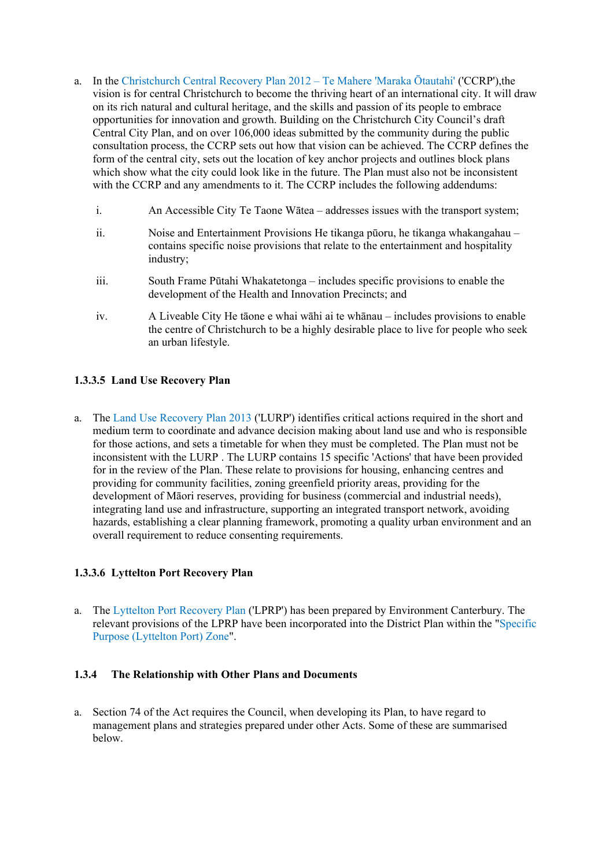- a. In the Christchurch Central Recovery Plan 2012 Te Mahere 'Maraka Ōtautahi' ('CCRP'),the vision is for central Christchurch to become the thriving heart of an international city. It will draw on its rich natural and cultural heritage, and the skills and passion of its people to embrace opportunities for innovation and growth. Building on the Christchurch City Council's draft Central City Plan, and on over 106,000 ideas submitted by the community during the public consultation process, the CCRP sets out how that vision can be achieved. The CCRP defines the form of the central city, sets out the location of key anchor projects and outlines block plans which show what the city could look like in the future. The Plan must also not be inconsistent with the CCRP and any amendments to it. The CCRP includes the following addendums:
	- i. An Accessible City Te Taone Wātea addresses issues with the transport system;
	- ii. Noise and Entertainment Provisions He tikanga pūoru, he tikanga whakangahau contains specific noise provisions that relate to the entertainment and hospitality industry;
	- iii. South Frame Pūtahi Whakatetonga includes specific provisions to enable the development of the Health and Innovation Precincts; and
	- iv. A Liveable City He tāone e whai wāhi ai te whānau includes provisions to enable the centre of Christchurch to be a highly desirable place to live for people who seek an urban lifestyle.

### **1.3.3.5 Land Use Recovery Plan**

a. The Land Use Recovery Plan 2013 ('LURP') identifies critical actions required in the short and medium term to coordinate and advance decision making about land use and who is responsible for those actions, and sets a timetable for when they must be completed. The Plan must not be inconsistent with the LURP . The LURP contains 15 specific 'Actions' that have been provided for in the review of the Plan. These relate to provisions for housing, enhancing centres and providing for community facilities, zoning greenfield priority areas, providing for the development of Māori reserves, providing for business (commercial and industrial needs), integrating land use and infrastructure, supporting an integrated transport network, avoiding hazards, establishing a clear planning framework, promoting a quality urban environment and an overall requirement to reduce consenting requirements.

### **1.3.3.6 Lyttelton Port Recovery Plan**

a. The Lyttelton Port Recovery Plan ('LPRP') has been prepared by Environment Canterbury. The relevant provisions of the LPRP have been incorporated into the District Plan within the "Specific Purpose (Lyttelton Port) Zone".

### **1.3.4 The Relationship with Other Plans and Documents**

a. Section 74 of the Act requires the Council, when developing its Plan, to have regard to management plans and strategies prepared under other Acts. Some of these are summarised below.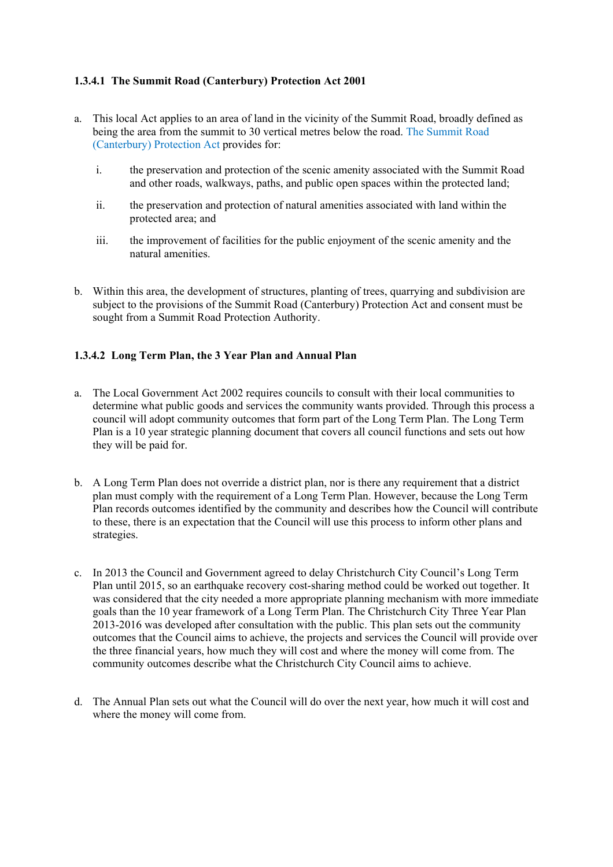### **1.3.4.1 The Summit Road (Canterbury) Protection Act 2001**

- a. This local Act applies to an area of land in the vicinity of the Summit Road, broadly defined as being the area from the summit to 30 vertical metres below the road. The Summit Road (Canterbury) Protection Act provides for:
	- i. the preservation and protection of the scenic amenity associated with the Summit Road and other roads, walkways, paths, and public open spaces within the protected land;
	- ii. the preservation and protection of natural amenities associated with land within the protected area; and
	- iii. the improvement of facilities for the public enjoyment of the scenic amenity and the natural amenities.
- b. Within this area, the development of structures, planting of trees, quarrying and subdivision are subject to the provisions of the Summit Road (Canterbury) Protection Act and consent must be sought from a Summit Road Protection Authority.

### **1.3.4.2 Long Term Plan, the 3 Year Plan and Annual Plan**

- a. The Local Government Act 2002 requires councils to consult with their local communities to determine what public goods and services the community wants provided. Through this process a council will adopt community outcomes that form part of the Long Term Plan. The Long Term Plan is a 10 year strategic planning document that covers all council functions and sets out how they will be paid for.
- b. A Long Term Plan does not override a district plan, nor is there any requirement that a district plan must comply with the requirement of a Long Term Plan. However, because the Long Term Plan records outcomes identified by the community and describes how the Council will contribute to these, there is an expectation that the Council will use this process to inform other plans and strategies.
- c. In 2013 the Council and Government agreed to delay Christchurch City Council's Long Term Plan until 2015, so an earthquake recovery cost-sharing method could be worked out together. It was considered that the city needed a more appropriate planning mechanism with more immediate goals than the 10 year framework of a Long Term Plan. The Christchurch City Three Year Plan 2013-2016 was developed after consultation with the public. This plan sets out the community outcomes that the Council aims to achieve, the projects and services the Council will provide over the three financial years, how much they will cost and where the money will come from. The community outcomes describe what the Christchurch City Council aims to achieve.
- d. The Annual Plan sets out what the Council will do over the next year, how much it will cost and where the money will come from.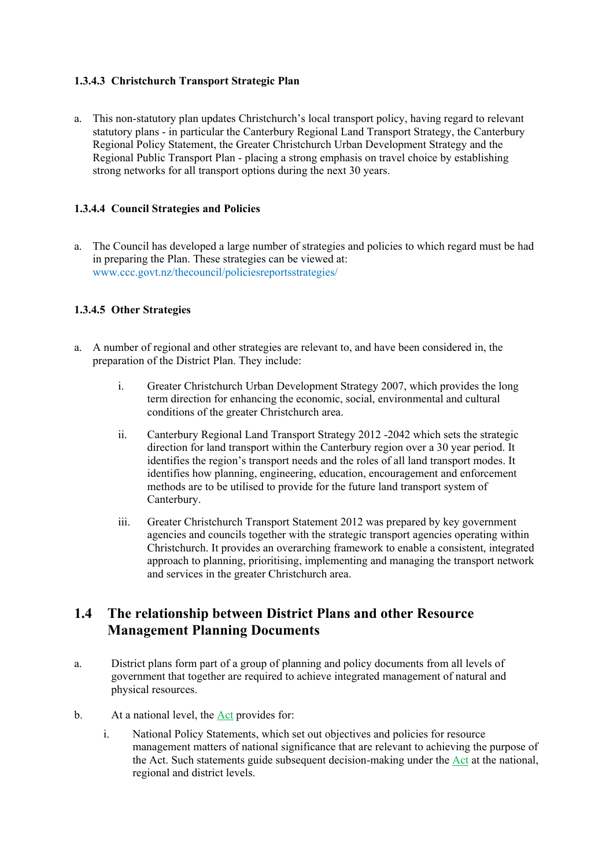### **1.3.4.3 Christchurch Transport Strategic Plan**

a. This non-statutory plan updates Christchurch's local transport policy, having regard to relevant statutory plans - in particular the Canterbury Regional Land Transport Strategy, the Canterbury Regional Policy Statement, the Greater Christchurch Urban Development Strategy and the Regional Public Transport Plan - placing a strong emphasis on travel choice by establishing strong networks for all transport options during the next 30 years.

### **1.3.4.4 Council Strategies and Policies**

a. The Council has developed a large number of strategies and policies to which regard must be had in preparing the Plan. These strategies can be viewed at: www.ccc.govt.nz/thecouncil/policiesreportsstrategies/

### **1.3.4.5 Other Strategies**

- a. A number of regional and other strategies are relevant to, and have been considered in, the preparation of the District Plan. They include:
	- i. Greater Christchurch Urban Development Strategy 2007, which provides the long term direction for enhancing the economic, social, environmental and cultural conditions of the greater Christchurch area.
	- ii. Canterbury Regional Land Transport Strategy 2012 -2042 which sets the strategic direction for land transport within the Canterbury region over a 30 year period. It identifies the region's transport needs and the roles of all land transport modes. It identifies how planning, engineering, education, encouragement and enforcement methods are to be utilised to provide for the future land transport system of Canterbury.
	- iii. Greater Christchurch Transport Statement 2012 was prepared by key government agencies and councils together with the strategic transport agencies operating within Christchurch. It provides an overarching framework to enable a consistent, integrated approach to planning, prioritising, implementing and managing the transport network and services in the greater Christchurch area.

### **1.4 The relationship between District Plans and other Resource Management Planning Documents**

- a. District plans form part of a group of planning and policy documents from all levels of government that together are required to achieve integrated management of natural and physical resources.
- b. At a national level, the  $Act$  provides for:
	- i. National Policy Statements, which set out objectives and policies for resource management matters of national significance that are relevant to achieving the purpose of the Act. Such statements guide subsequent decision-making under the Act at the national, regional and district levels.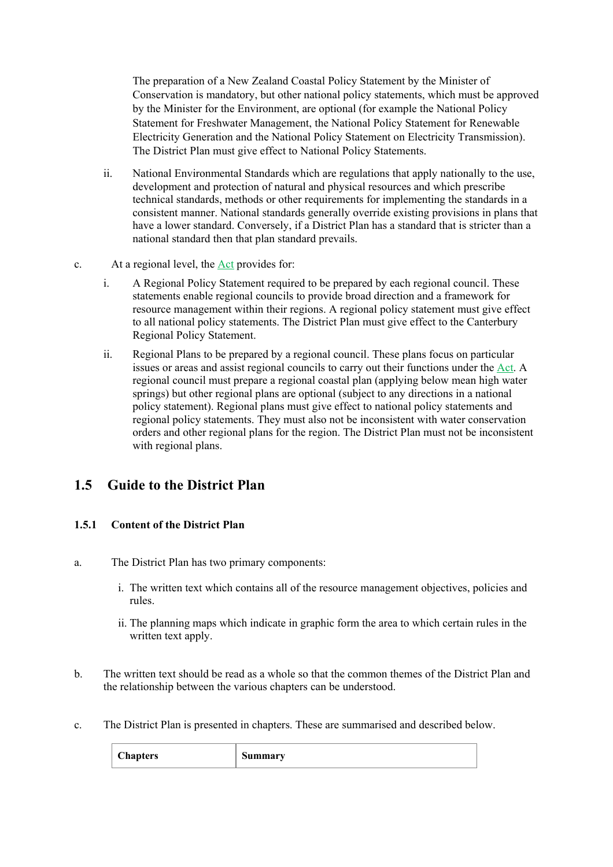The preparation of a New Zealand Coastal Policy Statement by the Minister of Conservation is mandatory, but other national policy statements, which must be approved by the Minister for the Environment, are optional (for example the National Policy Statement for Freshwater Management, the National Policy Statement for Renewable Electricity Generation and the National Policy Statement on Electricity Transmission). The District Plan must give effect to National Policy Statements.

- ii. National Environmental Standards which are regulations that apply nationally to the use, development and protection of natural and physical resources and which prescribe technical standards, methods or other requirements for implementing the standards in a consistent manner. National standards generally override existing provisions in plans that have a lower standard. Conversely, if a District Plan has a standard that is stricter than a national standard then that plan standard prevails.
- c. At a regional level, the Act provides for:
	- i. A Regional Policy Statement required to be prepared by each regional council. These statements enable regional councils to provide broad direction and a framework for resource management within their regions. A regional policy statement must give effect to all national policy statements. The District Plan must give effect to the Canterbury Regional Policy Statement.
	- ii. Regional Plans to be prepared by a regional council. These plans focus on particular issues or areas and assist regional councils to carry out their functions under the Act. A regional council must prepare a regional coastal plan (applying below mean high water springs) but other regional plans are optional (subject to any directions in a national policy statement). Regional plans must give effect to national policy statements and regional policy statements. They must also not be inconsistent with water conservation orders and other regional plans for the region. The District Plan must not be inconsistent with regional plans.

## **1.5 Guide to the District Plan**

### **1.5.1 Content of the District Plan**

- a. The District Plan has two primary components:
	- i. The written text which contains all of the resource management objectives, policies and rules.
	- ii. The planning maps which indicate in graphic form the area to which certain rules in the written text apply.
- b. The written text should be read as a whole so that the common themes of the District Plan and the relationship between the various chapters can be understood.
- c. The District Plan is presented in chapters. These are summarised and described below.

| <b>Chapters</b> | Summary |
|-----------------|---------|
|-----------------|---------|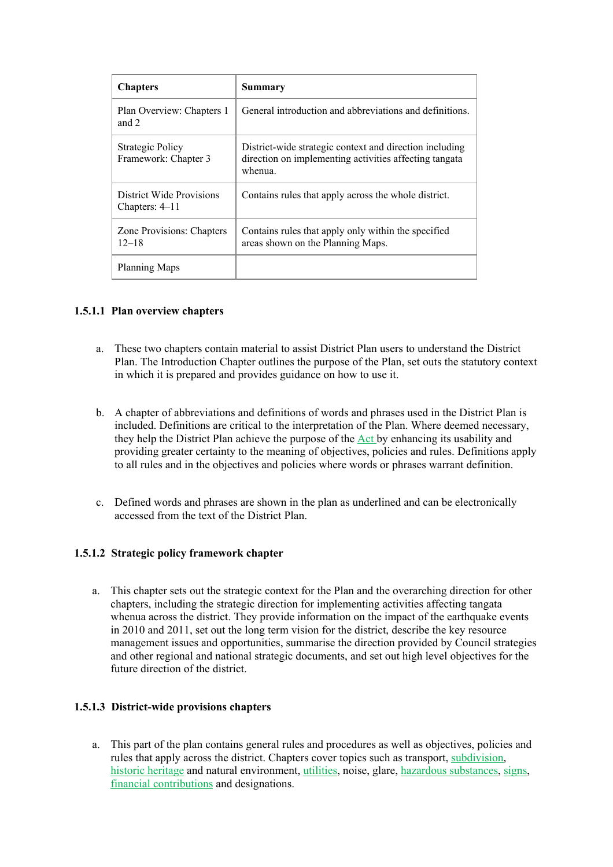| <b>Chapters</b>                                 | Summary                                                                                                                      |
|-------------------------------------------------|------------------------------------------------------------------------------------------------------------------------------|
| Plan Overview: Chapters 1<br>and $2$            | General introduction and abbreviations and definitions.                                                                      |
| <b>Strategic Policy</b><br>Framework: Chapter 3 | District-wide strategic context and direction including<br>direction on implementing activities affecting tangata<br>whenua. |
| District Wide Provisions<br>Chapters: 4–11      | Contains rules that apply across the whole district.                                                                         |
| Zone Provisions: Chapters<br>$12 - 18$          | Contains rules that apply only within the specified<br>areas shown on the Planning Maps.                                     |
| Planning Maps                                   |                                                                                                                              |

### **1.5.1.1 Plan overview chapters**

- a. These two chapters contain material to assist District Plan users to understand the District Plan. The Introduction Chapter outlines the purpose of the Plan, set outs the statutory context in which it is prepared and provides guidance on how to use it.
- b. A chapter of abbreviations and definitions of words and phrases used in the District Plan is included. Definitions are critical to the interpretation of the Plan. Where deemed necessary, they help the District Plan achieve the purpose of the Act by enhancing its usability and providing greater certainty to the meaning of objectives, policies and rules. Definitions apply to all rules and in the objectives and policies where words or phrases warrant definition.
- c. Defined words and phrases are shown in the plan as underlined and can be electronically accessed from the text of the District Plan.

### **1.5.1.2 Strategic policy framework chapter**

a. This chapter sets out the strategic context for the Plan and the overarching direction for other chapters, including the strategic direction for implementing activities affecting tangata whenua across the district. They provide information on the impact of the earthquake events in 2010 and 2011, set out the long term vision for the district, describe the key resource management issues and opportunities, summarise the direction provided by Council strategies and other regional and national strategic documents, and set out high level objectives for the future direction of the district.

### **1.5.1.3 District-wide provisions chapters**

a. This part of the plan contains general rules and procedures as well as objectives, policies and rules that apply across the district. Chapters cover topics such as transport, subdivision, historic heritage and natural environment, utilities, noise, glare, hazardous substances, signs, financial contributions and designations.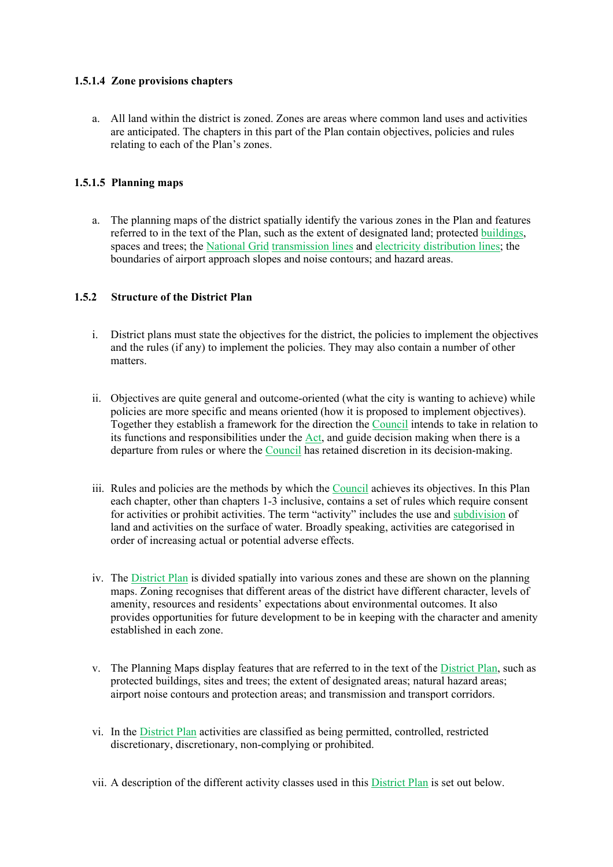### **1.5.1.4 Zone provisions chapters**

a. All land within the district is zoned. Zones are areas where common land uses and activities are anticipated. The chapters in this part of the Plan contain objectives, policies and rules relating to each of the Plan's zones.

### **1.5.1.5 Planning maps**

a. The planning maps of the district spatially identify the various zones in the Plan and features referred to in the text of the Plan, such as the extent of designated land; protected buildings, spaces and trees; the National Grid transmission lines and electricity distribution lines; the boundaries of airport approach slopes and noise contours; and hazard areas.

### **1.5.2 Structure of the District Plan**

- i. District plans must state the objectives for the district, the policies to implement the objectives and the rules (if any) to implement the policies. They may also contain a number of other matters.
- ii. Objectives are quite general and outcome-oriented (what the city is wanting to achieve) while policies are more specific and means oriented (how it is proposed to implement objectives). Together they establish a framework for the direction the Council intends to take in relation to its functions and responsibilities under the Act, and guide decision making when there is a departure from rules or where the Council has retained discretion in its decision-making.
- iii. Rules and policies are the methods by which the Council achieves its objectives. In this Plan each chapter, other than chapters 1-3 inclusive, contains a set of rules which require consent for activities or prohibit activities. The term "activity" includes the use and subdivision of land and activities on the surface of water. Broadly speaking, activities are categorised in order of increasing actual or potential adverse effects.
- iv. The District Plan is divided spatially into various zones and these are shown on the planning maps. Zoning recognises that different areas of the district have different character, levels of amenity, resources and residents' expectations about environmental outcomes. It also provides opportunities for future development to be in keeping with the character and amenity established in each zone.
- v. The Planning Maps display features that are referred to in the text of the District Plan, such as protected buildings, sites and trees; the extent of designated areas; natural hazard areas; airport noise contours and protection areas; and transmission and transport corridors.
- vi. In the District Plan activities are classified as being permitted, controlled, restricted discretionary, discretionary, non-complying or prohibited.
- vii. A description of the different activity classes used in this District Plan is set out below.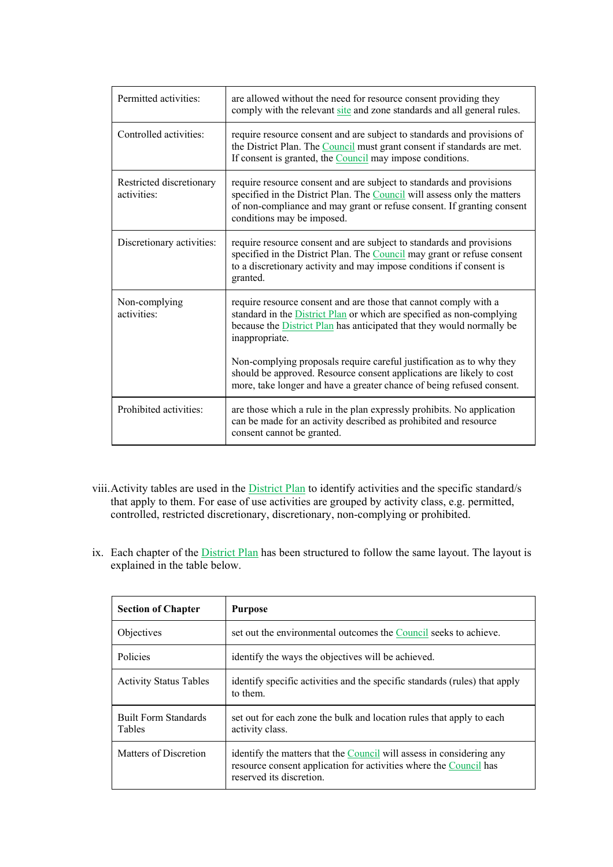| Permitted activities:                   | are allowed without the need for resource consent providing they<br>comply with the relevant site and zone standards and all general rules.                                                                                                              |
|-----------------------------------------|----------------------------------------------------------------------------------------------------------------------------------------------------------------------------------------------------------------------------------------------------------|
| Controlled activities:                  | require resource consent and are subject to standards and provisions of<br>the District Plan. The Council must grant consent if standards are met.<br>If consent is granted, the Council may impose conditions.                                          |
| Restricted discretionary<br>activities: | require resource consent and are subject to standards and provisions<br>specified in the District Plan. The Council will assess only the matters<br>of non-compliance and may grant or refuse consent. If granting consent<br>conditions may be imposed. |
| Discretionary activities:               | require resource consent and are subject to standards and provisions<br>specified in the District Plan. The Council may grant or refuse consent<br>to a discretionary activity and may impose conditions if consent is<br>granted.                       |
| Non-complying<br>activities:            | require resource consent and are those that cannot comply with a<br>standard in the District Plan or which are specified as non-complying<br>because the <b>District Plan</b> has anticipated that they would normally be<br>inappropriate.              |
|                                         | Non-complying proposals require careful justification as to why they<br>should be approved. Resource consent applications are likely to cost<br>more, take longer and have a greater chance of being refused consent.                                    |
| Prohibited activities:                  | are those which a rule in the plan expressly prohibits. No application<br>can be made for an activity described as prohibited and resource<br>consent cannot be granted.                                                                                 |

- viii.Activity tables are used in the District Plan to identify activities and the specific standard/s that apply to them. For ease of use activities are grouped by activity class, e.g. permitted, controlled, restricted discretionary, discretionary, non-complying or prohibited.
- ix. Each chapter of the **District Plan** has been structured to follow the same layout. The layout is explained in the table below.

| <b>Section of Chapter</b>                    | <b>Purpose</b>                                                                                                                                                        |
|----------------------------------------------|-----------------------------------------------------------------------------------------------------------------------------------------------------------------------|
| Objectives                                   | set out the environmental outcomes the Council seeks to achieve.                                                                                                      |
| Policies                                     | identify the ways the objectives will be achieved.                                                                                                                    |
| <b>Activity Status Tables</b>                | identify specific activities and the specific standards (rules) that apply<br>to them                                                                                 |
| <b>Built Form Standards</b><br><b>Tables</b> | set out for each zone the bulk and location rules that apply to each<br>activity class.                                                                               |
| Matters of Discretion                        | identify the matters that the Council will assess in considering any<br>resource consent application for activities where the Council has<br>reserved its discretion. |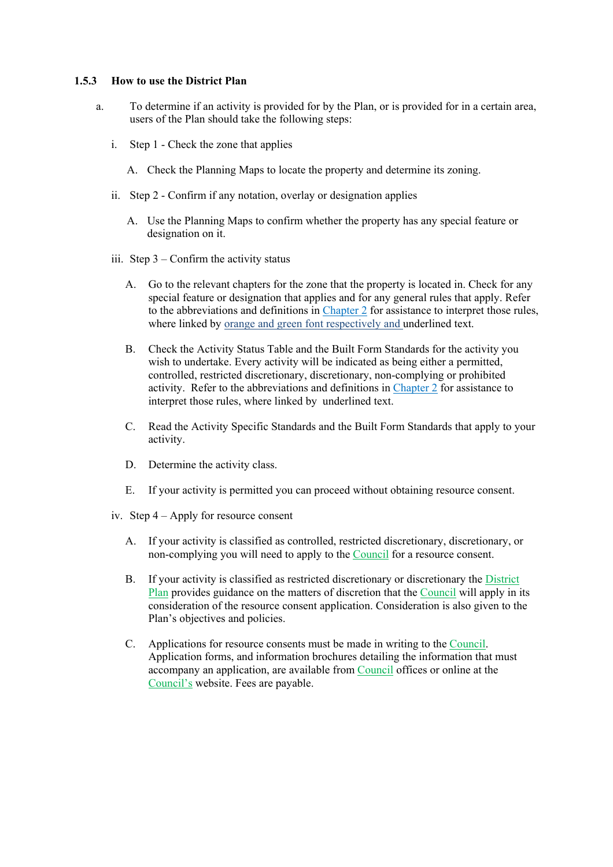#### **1.5.3 How to use the District Plan**

- a. To determine if an activity is provided for by the Plan, or is provided for in a certain area, users of the Plan should take the following steps:
	- i. Step 1 Check the zone that applies
		- A. Check the Planning Maps to locate the property and determine its zoning.
	- ii. Step 2 Confirm if any notation, overlay or designation applies
		- A. Use the Planning Maps to confirm whether the property has any special feature or designation on it.
	- iii. Step 3 Confirm the activity status
		- A. Go to the relevant chapters for the zone that the property is located in. Check for any special feature or designation that applies and for any general rules that apply. Refer to the abbreviations and definitions in Chapter 2 for assistance to interpret those rules, where linked by orange and green font respectively and underlined text.
		- B. Check the Activity Status Table and the Built Form Standards for the activity you wish to undertake. Every activity will be indicated as being either a permitted, controlled, restricted discretionary, discretionary, non-complying or prohibited activity. Refer to the abbreviations and definitions in Chapter 2 for assistance to interpret those rules, where linked by underlined text.
		- C. Read the Activity Specific Standards and the Built Form Standards that apply to your activity.
		- D. Determine the activity class.
		- E. If your activity is permitted you can proceed without obtaining resource consent.
	- iv. Step 4 Apply for resource consent
		- A. If your activity is classified as controlled, restricted discretionary, discretionary, or non-complying you will need to apply to the Council for a resource consent.
		- B. If your activity is classified as restricted discretionary or discretionary the District Plan provides guidance on the matters of discretion that the Council will apply in its consideration of the resource consent application. Consideration is also given to the Plan's objectives and policies.
		- C. Applications for resource consents must be made in writing to the Council. Application forms, and information brochures detailing the information that must accompany an application, are available from Council offices or online at the Council's website. Fees are payable.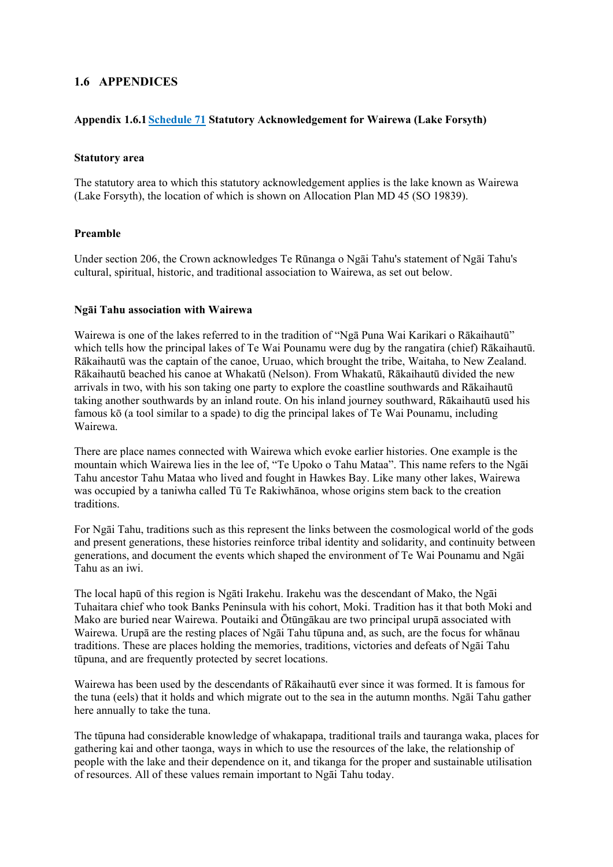### **1.6 APPENDICES**

### **Appendix 1.6.1 Schedule 71 Statutory Acknowledgement for Wairewa (Lake Forsyth)**

#### **Statutory area**

The statutory area to which this statutory acknowledgement applies is the lake known as Wairewa (Lake Forsyth), the location of which is shown on Allocation Plan MD 45 (SO 19839).

#### **Preamble**

Under section 206, the Crown acknowledges Te Rūnanga o Ngāi Tahu's statement of Ngāi Tahu's cultural, spiritual, historic, and traditional association to Wairewa, as set out below.

#### **Ngāi Tahu association with Wairewa**

Wairewa is one of the lakes referred to in the tradition of "Ngā Puna Wai Karikari o Rākaihautū" which tells how the principal lakes of Te Wai Pounamu were dug by the rangatira (chief) Rākaihautū. Rākaihautū was the captain of the canoe, Uruao, which brought the tribe, Waitaha, to New Zealand. Rākaihautū beached his canoe at Whakatū (Nelson). From Whakatū, Rākaihautū divided the new arrivals in two, with his son taking one party to explore the coastline southwards and Rākaihautū taking another southwards by an inland route. On his inland journey southward, Rākaihautū used his famous kō (a tool similar to a spade) to dig the principal lakes of Te Wai Pounamu, including Wairewa.

There are place names connected with Wairewa which evoke earlier histories. One example is the mountain which Wairewa lies in the lee of, "Te Upoko o Tahu Mataa". This name refers to the Ngāi Tahu ancestor Tahu Mataa who lived and fought in Hawkes Bay. Like many other lakes, Wairewa was occupied by a taniwha called Tū Te Rakiwhānoa, whose origins stem back to the creation traditions.

For Ngāi Tahu, traditions such as this represent the links between the cosmological world of the gods and present generations, these histories reinforce tribal identity and solidarity, and continuity between generations, and document the events which shaped the environment of Te Wai Pounamu and Ngāi Tahu as an iwi.

The local hapū of this region is Ngāti Irakehu. Irakehu was the descendant of Mako, the Ngāi Tuhaitara chief who took Banks Peninsula with his cohort, Moki. Tradition has it that both Moki and Mako are buried near Wairewa. Poutaiki and Ōtūngākau are two principal urupā associated with Wairewa. Urupā are the resting places of Ngāi Tahu tūpuna and, as such, are the focus for whānau traditions. These are places holding the memories, traditions, victories and defeats of Ngāi Tahu tūpuna, and are frequently protected by secret locations.

Wairewa has been used by the descendants of Rākaihautū ever since it was formed. It is famous for the tuna (eels) that it holds and which migrate out to the sea in the autumn months. Ngāi Tahu gather here annually to take the tuna.

The tūpuna had considerable knowledge of whakapapa, traditional trails and tauranga waka, places for gathering kai and other taonga, ways in which to use the resources of the lake, the relationship of people with the lake and their dependence on it, and tikanga for the proper and sustainable utilisation of resources. All of these values remain important to Ngāi Tahu today.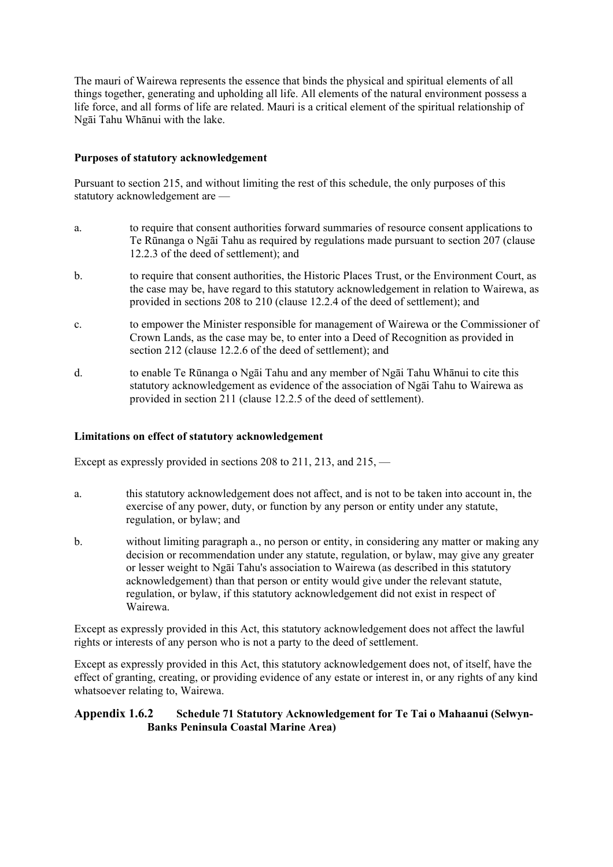The mauri of Wairewa represents the essence that binds the physical and spiritual elements of all things together, generating and upholding all life. All elements of the natural environment possess a life force, and all forms of life are related. Mauri is a critical element of the spiritual relationship of Ngāi Tahu Whānui with the lake.

### **Purposes of statutory acknowledgement**

Pursuant to section 215, and without limiting the rest of this schedule, the only purposes of this statutory acknowledgement are —

- a. to require that consent authorities forward summaries of resource consent applications to Te Rūnanga o Ngāi Tahu as required by regulations made pursuant to section 207 (clause 12.2.3 of the deed of settlement); and
- b. to require that consent authorities, the Historic Places Trust, or the Environment Court, as the case may be, have regard to this statutory acknowledgement in relation to Wairewa, as provided in sections 208 to 210 (clause 12.2.4 of the deed of settlement); and
- c. to empower the Minister responsible for management of Wairewa or the Commissioner of Crown Lands, as the case may be, to enter into a Deed of Recognition as provided in section 212 (clause 12.2.6 of the deed of settlement); and
- d. to enable Te Rūnanga o Ngāi Tahu and any member of Ngāi Tahu Whānui to cite this statutory acknowledgement as evidence of the association of Ngāi Tahu to Wairewa as provided in section 211 (clause 12.2.5 of the deed of settlement).

### **Limitations on effect of statutory acknowledgement**

Except as expressly provided in sections 208 to 211, 213, and 215, —

- a. this statutory acknowledgement does not affect, and is not to be taken into account in, the exercise of any power, duty, or function by any person or entity under any statute, regulation, or bylaw; and
- b. without limiting paragraph a., no person or entity, in considering any matter or making any decision or recommendation under any statute, regulation, or bylaw, may give any greater or lesser weight to Ngāi Tahu's association to Wairewa (as described in this statutory acknowledgement) than that person or entity would give under the relevant statute, regulation, or bylaw, if this statutory acknowledgement did not exist in respect of Wairewa.

Except as expressly provided in this Act, this statutory acknowledgement does not affect the lawful rights or interests of any person who is not a party to the deed of settlement.

Except as expressly provided in this Act, this statutory acknowledgement does not, of itself, have the effect of granting, creating, or providing evidence of any estate or interest in, or any rights of any kind whatsoever relating to, Wairewa.

### **Appendix 1.6.2 Schedule 71 Statutory Acknowledgement for Te Tai o Mahaanui (Selwyn-Banks Peninsula Coastal Marine Area)**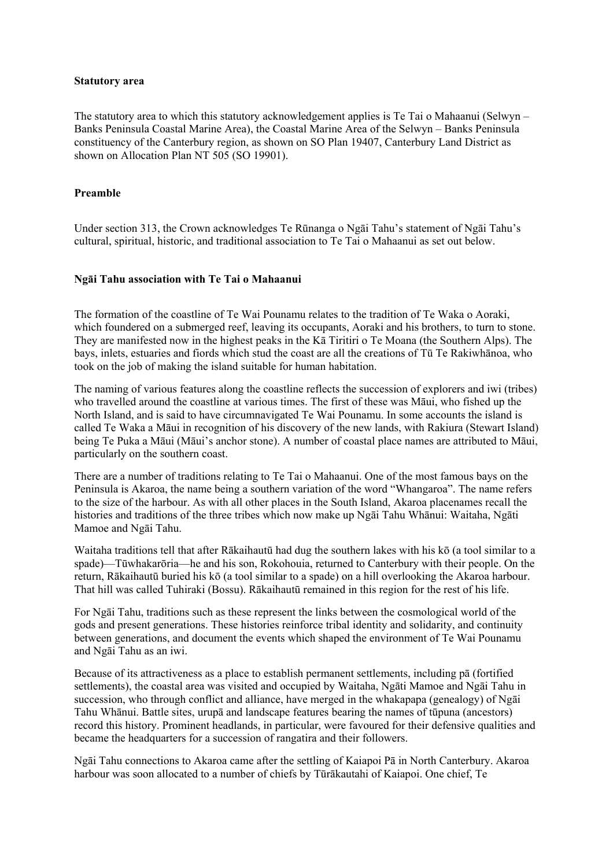#### **Statutory area**

The statutory area to which this statutory acknowledgement applies is Te Tai o Mahaanui (Selwyn – Banks Peninsula Coastal Marine Area), the Coastal Marine Area of the Selwyn – Banks Peninsula constituency of the Canterbury region, as shown on SO Plan 19407, Canterbury Land District as shown on Allocation Plan NT 505 (SO 19901).

### **Preamble**

Under section 313, the Crown acknowledges Te Rūnanga o Ngāi Tahu's statement of Ngāi Tahu's cultural, spiritual, historic, and traditional association to Te Tai o Mahaanui as set out below.

### **Ngāi Tahu association with Te Tai o Mahaanui**

The formation of the coastline of Te Wai Pounamu relates to the tradition of Te Waka o Aoraki, which foundered on a submerged reef, leaving its occupants, Aoraki and his brothers, to turn to stone. They are manifested now in the highest peaks in the Kā Tiritiri o Te Moana (the Southern Alps). The bays, inlets, estuaries and fiords which stud the coast are all the creations of Tū Te Rakiwhānoa, who took on the job of making the island suitable for human habitation.

The naming of various features along the coastline reflects the succession of explorers and iwi (tribes) who travelled around the coastline at various times. The first of these was Māui, who fished up the North Island, and is said to have circumnavigated Te Wai Pounamu. In some accounts the island is called Te Waka a Māui in recognition of his discovery of the new lands, with Rakiura (Stewart Island) being Te Puka a Māui (Māui's anchor stone). A number of coastal place names are attributed to Māui, particularly on the southern coast.

There are a number of traditions relating to Te Tai o Mahaanui. One of the most famous bays on the Peninsula is Akaroa, the name being a southern variation of the word "Whangaroa". The name refers to the size of the harbour. As with all other places in the South Island, Akaroa placenames recall the histories and traditions of the three tribes which now make up Ngāi Tahu Whānui: Waitaha, Ngāti Mamoe and Ngāi Tahu.

Waitaha traditions tell that after Rākaihautū had dug the southern lakes with his kō (a tool similar to a spade)—Tūwhakarōria—he and his son, Rokohouia, returned to Canterbury with their people. On the return, Rākaihautū buried his kō (a tool similar to a spade) on a hill overlooking the Akaroa harbour. That hill was called Tuhiraki (Bossu). Rākaihautū remained in this region for the rest of his life.

For Ngāi Tahu, traditions such as these represent the links between the cosmological world of the gods and present generations. These histories reinforce tribal identity and solidarity, and continuity between generations, and document the events which shaped the environment of Te Wai Pounamu and Ngāi Tahu as an iwi.

Because of its attractiveness as a place to establish permanent settlements, including pā (fortified settlements), the coastal area was visited and occupied by Waitaha, Ngāti Mamoe and Ngāi Tahu in succession, who through conflict and alliance, have merged in the whakapapa (genealogy) of Ngāi Tahu Whānui. Battle sites, urupā and landscape features bearing the names of tūpuna (ancestors) record this history. Prominent headlands, in particular, were favoured for their defensive qualities and became the headquarters for a succession of rangatira and their followers.

Ngāi Tahu connections to Akaroa came after the settling of Kaiapoi Pā in North Canterbury. Akaroa harbour was soon allocated to a number of chiefs by Tūrākautahi of Kaiapoi. One chief, Te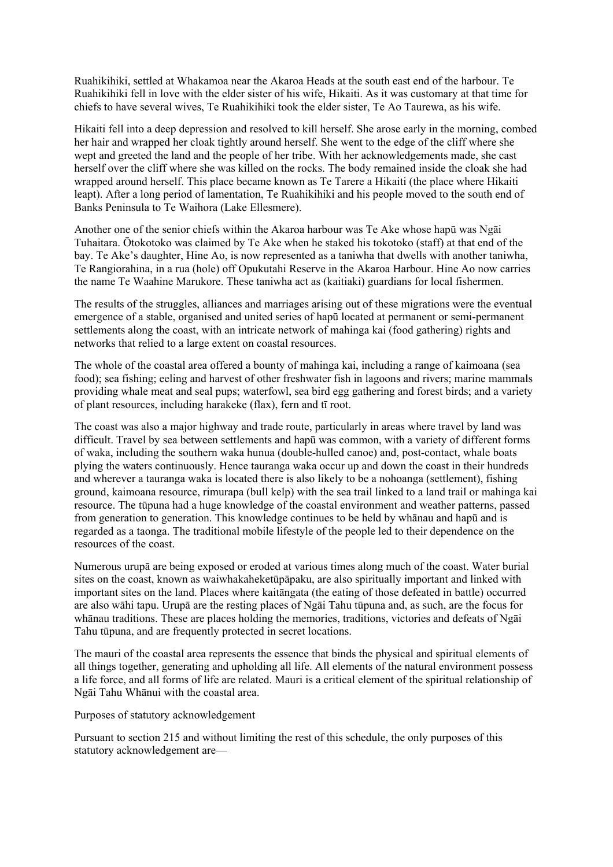Ruahikihiki, settled at Whakamoa near the Akaroa Heads at the south east end of the harbour. Te Ruahikihiki fell in love with the elder sister of his wife, Hikaiti. As it was customary at that time for chiefs to have several wives, Te Ruahikihiki took the elder sister, Te Ao Taurewa, as his wife.

Hikaiti fell into a deep depression and resolved to kill herself. She arose early in the morning, combed her hair and wrapped her cloak tightly around herself. She went to the edge of the cliff where she wept and greeted the land and the people of her tribe. With her acknowledgements made, she cast herself over the cliff where she was killed on the rocks. The body remained inside the cloak she had wrapped around herself. This place became known as Te Tarere a Hikaiti (the place where Hikaiti leapt). After a long period of lamentation, Te Ruahikihiki and his people moved to the south end of Banks Peninsula to Te Waihora (Lake Ellesmere).

Another one of the senior chiefs within the Akaroa harbour was Te Ake whose hapū was Ngāi Tuhaitara. Ōtokotoko was claimed by Te Ake when he staked his tokotoko (staff) at that end of the bay. Te Ake's daughter, Hine Ao, is now represented as a taniwha that dwells with another taniwha, Te Rangiorahina, in a rua (hole) off Opukutahi Reserve in the Akaroa Harbour. Hine Ao now carries the name Te Waahine Marukore. These taniwha act as (kaitiaki) guardians for local fishermen.

The results of the struggles, alliances and marriages arising out of these migrations were the eventual emergence of a stable, organised and united series of hapū located at permanent or semi-permanent settlements along the coast, with an intricate network of mahinga kai (food gathering) rights and networks that relied to a large extent on coastal resources.

The whole of the coastal area offered a bounty of mahinga kai, including a range of kaimoana (sea food); sea fishing; eeling and harvest of other freshwater fish in lagoons and rivers; marine mammals providing whale meat and seal pups; waterfowl, sea bird egg gathering and forest birds; and a variety of plant resources, including harakeke (flax), fern and tī root.

The coast was also a major highway and trade route, particularly in areas where travel by land was difficult. Travel by sea between settlements and hapū was common, with a variety of different forms of waka, including the southern waka hunua (double-hulled canoe) and, post-contact, whale boats plying the waters continuously. Hence tauranga waka occur up and down the coast in their hundreds and wherever a tauranga waka is located there is also likely to be a nohoanga (settlement), fishing ground, kaimoana resource, rimurapa (bull kelp) with the sea trail linked to a land trail or mahinga kai resource. The tūpuna had a huge knowledge of the coastal environment and weather patterns, passed from generation to generation. This knowledge continues to be held by whānau and hapū and is regarded as a taonga. The traditional mobile lifestyle of the people led to their dependence on the resources of the coast.

Numerous urupā are being exposed or eroded at various times along much of the coast. Water burial sites on the coast, known as waiwhakaheketūpāpaku, are also spiritually important and linked with important sites on the land. Places where kaitāngata (the eating of those defeated in battle) occurred are also wāhi tapu. Urupā are the resting places of Ngāi Tahu tūpuna and, as such, are the focus for whānau traditions. These are places holding the memories, traditions, victories and defeats of Ngāi Tahu tūpuna, and are frequently protected in secret locations.

The mauri of the coastal area represents the essence that binds the physical and spiritual elements of all things together, generating and upholding all life. All elements of the natural environment possess a life force, and all forms of life are related. Mauri is a critical element of the spiritual relationship of Ngāi Tahu Whānui with the coastal area.

Purposes of statutory acknowledgement

Pursuant to section 215 and without limiting the rest of this schedule, the only purposes of this statutory acknowledgement are—